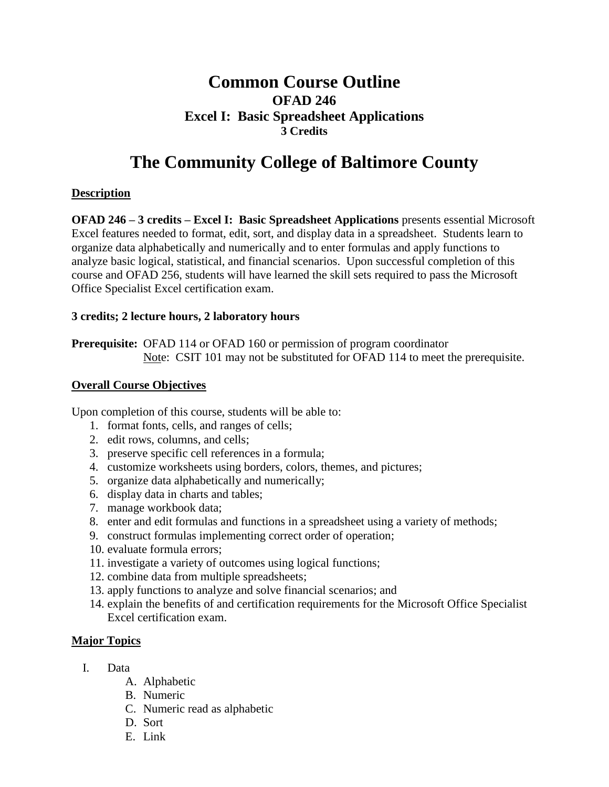# **Common Course Outline OFAD 246 Excel I: Basic Spreadsheet Applications 3 Credits**

# **The Community College of Baltimore County**

### **Description**

**OFAD 246 – 3 credits – Excel I: Basic Spreadsheet Applications** presents essential Microsoft Excel features needed to format, edit, sort, and display data in a spreadsheet. Students learn to organize data alphabetically and numerically and to enter formulas and apply functions to analyze basic logical, statistical, and financial scenarios. Upon successful completion of this course and OFAD 256, students will have learned the skill sets required to pass the Microsoft Office Specialist Excel certification exam.

#### **3 credits; 2 lecture hours, 2 laboratory hours**

**Prerequisite:** OFAD 114 or OFAD 160 or permission of program coordinator Note: CSIT 101 may not be substituted for OFAD 114 to meet the prerequisite.

#### **Overall Course Objectives**

Upon completion of this course, students will be able to:

- 1. format fonts, cells, and ranges of cells;
- 2. edit rows, columns, and cells;
- 3. preserve specific cell references in a formula;
- 4. customize worksheets using borders, colors, themes, and pictures;
- 5. organize data alphabetically and numerically;
- 6. display data in charts and tables;
- 7. manage workbook data;
- 8. enter and edit formulas and functions in a spreadsheet using a variety of methods;
- 9. construct formulas implementing correct order of operation;
- 10. evaluate formula errors;
- 11. investigate a variety of outcomes using logical functions;
- 12. combine data from multiple spreadsheets;
- 13. apply functions to analyze and solve financial scenarios; and
- 14. explain the benefits of and certification requirements for the Microsoft Office Specialist Excel certification exam.

## **Major Topics**

- I. Data
	- A. Alphabetic
	- B. Numeric
	- C. Numeric read as alphabetic
	- D. Sort
	- E. Link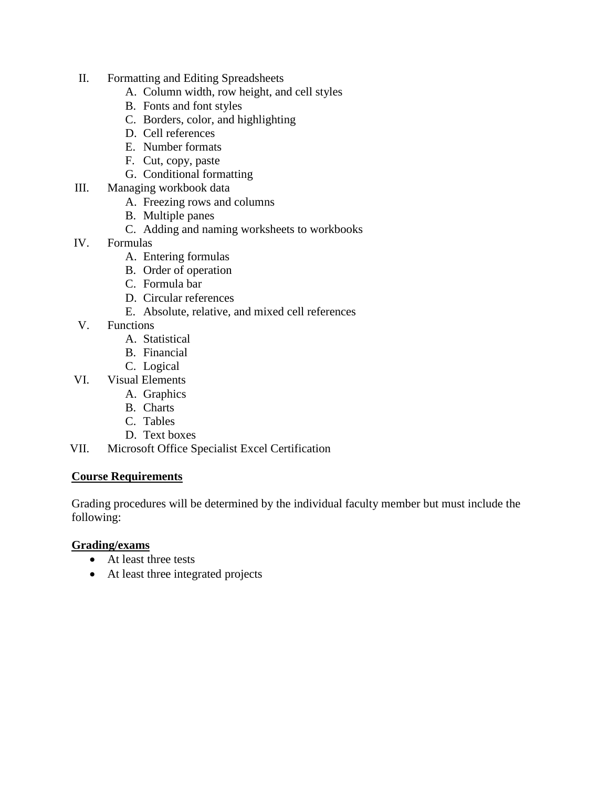- II. Formatting and Editing Spreadsheets
	- A. Column width, row height, and cell styles
	- B. Fonts and font styles
	- C. Borders, color, and highlighting
	- D. Cell references
	- E. Number formats
	- F. Cut, copy, paste
	- G. Conditional formatting
- III. Managing workbook data
	- A. Freezing rows and columns
	- B. Multiple panes
	- C. Adding and naming worksheets to workbooks
- IV. Formulas
	- A. Entering formulas
	- B. Order of operation
	- C. Formula bar
	- D. Circular references
	- E. Absolute, relative, and mixed cell references
- V. Functions
	- A. Statistical
	- B. Financial
	- C. Logical
- VI. Visual Elements
	- A. Graphics
	- B. Charts
	- C. Tables
	- D. Text boxes
- VII. Microsoft Office Specialist Excel Certification

#### **Course Requirements**

Grading procedures will be determined by the individual faculty member but must include the following:

#### **Grading/exams**

- At least three tests
- At least three integrated projects